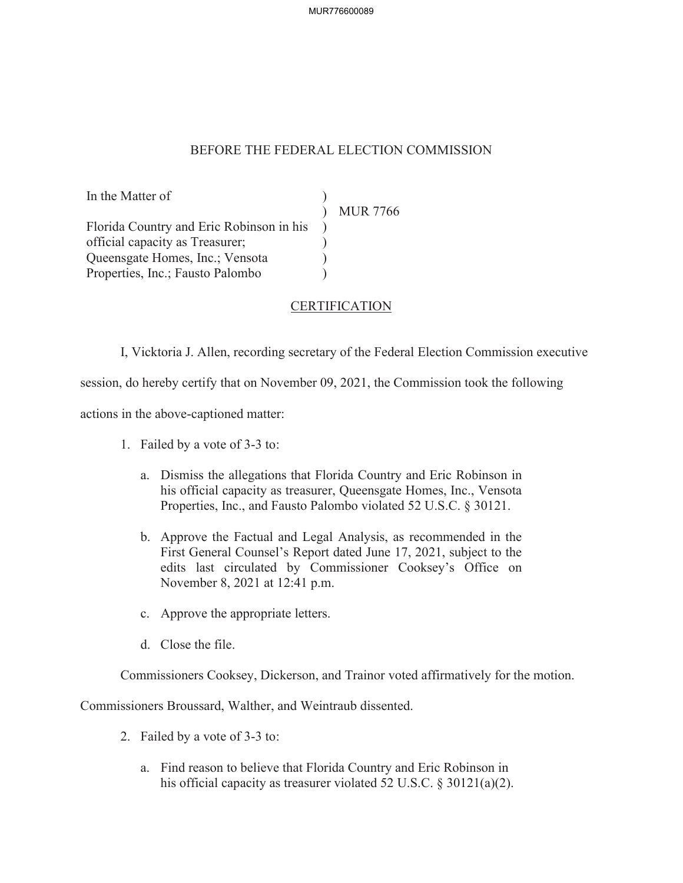## BEFORE THE FEDERAL ELECTION COMMISSION

In the Matter of  $)$ <br>  $\text{MUR } 7766$ Florida Country and Eric Robinson in his ) official capacity as Treasurer;  $\qquad \qquad$ ) Queensgate Homes, Inc.; Vensota ) Properties, Inc.; Fausto Palombo )

## CERTIFICATION

I, Vicktoria J. Allen, recording secretary of the Federal Election Commission executive

session, do hereby certify that on November 09, 2021, the Commission took the following

actions in the above-captioned matter:

- 1. Failed by a vote of 3-3 to:
	- a. Dismiss the allegations that Florida Country and Eric Robinson in his official capacity as treasurer, Queensgate Homes, Inc., Vensota Properties, Inc., and Fausto Palombo violated 52 U.S.C. § 30121.
	- b. Approve the Factual and Legal Analysis, as recommended in the First General Counsel's Report dated June 17, 2021, subject to the edits last circulated by Commissioner Cooksey's Office on November 8, 2021 at 12:41 p.m.
	- c. Approve the appropriate letters.
	- d. Close the file.

Commissioners Cooksey, Dickerson, and Trainor voted affirmatively for the motion.

Commissioners Broussard, Walther, and Weintraub dissented.

- 2. Failed by a vote of 3-3 to:
	- a. Find reason to believe that Florida Country and Eric Robinson in his official capacity as treasurer violated 52 U.S.C. § 30121(a)(2).